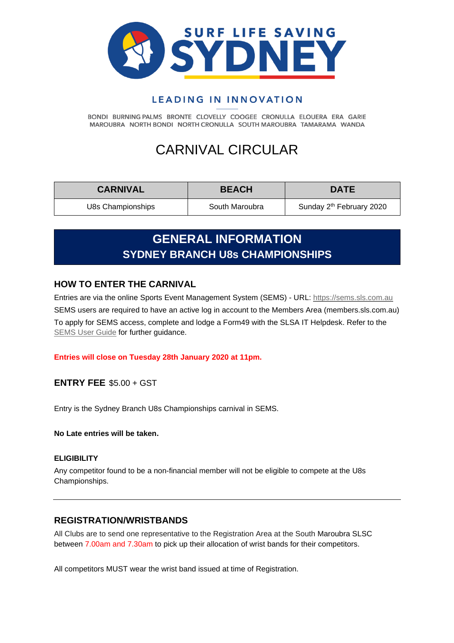

## LEADING IN INNOVATION

BONDI BURNING PALMS BRONTE CLOVELLY COOGEE CRONULLA ELOUERA ERA GARIE MAROUBRA NORTH BONDI NORTH CRONULLA SOUTH MAROUBRA TAMARAMA WANDA

# CARNIVAL CIRCULAR

| <b>CARNIVAL</b>   | <b>BEACH</b>   | <b>DATE</b>                          |
|-------------------|----------------|--------------------------------------|
| U8s Championships | South Maroubra | Sunday 2 <sup>th</sup> February 2020 |

## **GENERAL INFORMATION SYDNEY BRANCH U8s CHAMPIONSHIPS**

### **HOW TO ENTER THE CARNIVAL**

Entries are via the online Sports Event Management System (SEMS) - URL: [https://sems.sls.com.au](https://sems.sls.com.au/) SEMS users are required to have an active log in account to the Members Area (members.sls.com.au) To apply for SEMS access, complete and lodge a Form49 with the SLSA IT Helpdesk. Refer to the [SEMS User Guide](https://www.manula.com/manuals/surf-life-saving-australi/sems-slsa-sports-event-management-system/1/en/topic/overview) for further guidance.

#### **Entries will close on Tuesday 28th January 2020 at 11pm.**

**ENTRY FEE** \$5.00 + GST

Entry is the Sydney Branch U8s Championships carnival in SEMS.

**No Late entries will be taken.**

#### **ELIGIBILITY**

Any competitor found to be a non-financial member will not be eligible to compete at the U8s Championships.

### **REGISTRATION/WRISTBANDS**

All Clubs are to send one representative to the Registration Area at the South Maroubra SLSC between 7.00am and 7.30am to pick up their allocation of wrist bands for their competitors.

All competitors MUST wear the wrist band issued at time of Registration.